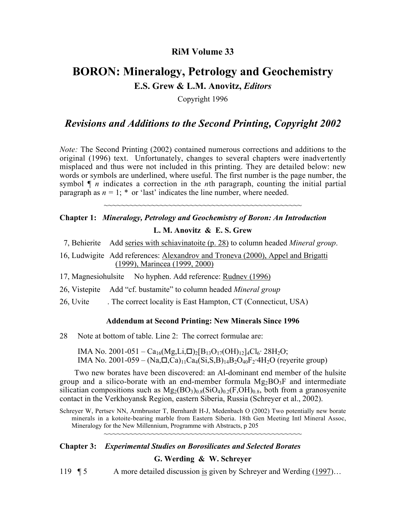## **RiM Volume 33**

# **BORON: Mineralogy, Petrology and Geochemistry E.S. Grew & L.M. Anovitz,** *Editors*

Copyright 1996

## *Revisions and Additions to the Second Printing, Copyright 2002*

*Note:* The Second Printing (2002) contained numerous corrections and additions to the original (1996) text. Unfortunately, changes to several chapters were inadvertently misplaced and thus were not included in this printing. They are detailed below: new words or symbols are underlined, where useful. The first number is the page number, the symbol ¶ *n* indicates a correction in the *n*th paragraph, counting the initial partial paragraph as  $n = 1$ ;  $*$  or 'last' indicates the line number, where needed.

~~~~~~~~~~~~~~~~~~~~~~~~~~~~~~~~~~~~~~~~~~~~~~

## **Chapter 1:** *Mineralogy, Petrology and Geochemistry of Boron: An Introduction* **L. M. Anovitz & E. S. Grew**

- 7, Behierite Add series with schiavinatoite (p. 28) to column headed *Mineral group*.
- 16, Ludwigite Add references: Alexandrov and Troneva (2000), Appel and Brigatti (1999), Marincea (1999, 2000)
- 17, Magnesiohulsite No hyphen. Add reference: Rudnev (1996)
- 26, Vistepite Add "cf. bustamite" to column headed *Mineral group*
- 26, Uvite . The correct locality is East Hampton, CT (Connecticut, USA)

### **Addendum at Second Printing: New Minerals Since 1996**

28 Note at bottom of table. Line 2: The correct formulae are:

IMA No. 2001-051 – Ca<sub>16</sub>(Mg,Li, $\Box$ )<sub>2</sub>[B<sub>13</sub>O<sub>17</sub>(OH)<sub>12</sub>]<sub>4</sub>Cl<sub>6</sub>· 28H<sub>2</sub>O; IMA No. 2001-059 –  $(Na,\Box,Ca)_{11}Ca_4(Si,S,B)_{14}B_2O_{40}F_2$ ·4H<sub>2</sub>O (reyerite group)

Two new borates have been discovered: an Al-dominant end member of the hulsite group and a silico-borate with an end-member formula  $Mg_2BO_3F$  and intermediate silicatian compositions such as  $Mg_2(BO_3)_{0.8}(SiO_4)_{0.2}(F, OH)_{0.8}$ , both from a granosyenite contact in the Verkhoyansk Region, eastern Siberia, Russia (Schreyer et al., 2002).

Schreyer W, Pertsev NN, Armbruster T, Bernhardt H-J, Medenbach O (2002) Two potentially new borate minerals in a kotoite-bearing marble from Eastern Siberia. 18th Gen Meeting Intl Mineral Assoc, Mineralogy for the New Millennium, Programme with Abstracts, p 205

~~~~~~~~~~~~~~~~~~~~~~~~~~~~~~~~~~~~~~~~~~~~~~

# **Chapter 3:** *Experimental Studies on Borosilicates and Selected Borates*

**G. Werding & W. Schreyer**

119 ¶ 5 A more detailed discussion is given by Schreyer and Werding (1997)...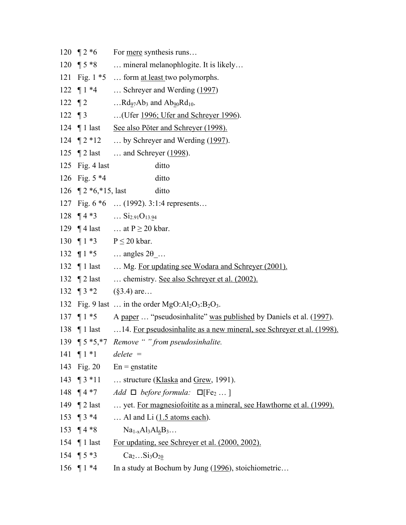120  $\sqrt{2}$  \*6 For <u>mere</u> synthesis runs... 120 ¶ 5 \*8 … mineral melanophlogite. It is likely… 121 Fig. 1 \*5 … form at least two polymorphs. 122 ¶ 1 \*4 … Schreyer and Werding (1997) 122  $\P$  2 …Rd<sub>97</sub>Ab<sub>3</sub> and Ab<sub>90</sub>Rd<sub>10</sub>. 122 ¶ 3 ... (Ufer <u>1996; Ufer and Schreyer 1996</u>). 124 ¶ 1 last See also Pöter and Schreyer (1998). 124 ¶ 2 \*12 … by Schreyer and Werding (1997). 125 ¶ 2 last … and Schreyer (1998). 125 Fig. 4 last ditto 126 Fig. 5 \*4 ditto 126 ¶ 2  $*6, *15$ , last ditto 127 Fig. 6 \*6 … (1992). 3:1:4 represents… 128  $\P$  4  $*$ 3 … Si<sub>2.91</sub>O<sub>13.94</sub> 129  $\P$  4 last … at P  $\geq$  20 kbar. 130 ¶ 1  $*3$  P  $\leq$  20 kbar. 132 ¶  $1 * 5$  … angles  $2\theta$  … 132 ¶ 1 last … Mg. For updating see Wodara and Schreyer (2001). 132 ¶ 2 last … chemistry. See also Schreyer et al. (2002). 132 ¶  $3 *2$  (§3.4) are… 132 Fig. 9 last ... in the order  $MgO:Al<sub>2</sub>O<sub>3</sub>:B<sub>2</sub>O<sub>3</sub>$ . 137 ¶ 1 \*5 A paper … "pseudosinhalite" was published by Daniels et al. (1997). 138 ¶ 1 last …14. For pseudosinhalite as a new mineral, see Schreyer et al. (1998). 139 ¶ 5 \*5,\*7 *Remove " " from pseudosinhalite.* 141 ¶ 1 \*1 *delete =* 143 Fig. 20  $En =$  enstatite 143 ¶ 3 \*11 … structure (Klaska and Grew, 1991). 148  $\P$  4  $*7$  *Add*  $\P$  *before formula:*  $\P$ [Fe<sub>2 …</sub>] 149 ¶ 2 last … yet. For magnesiofoitite as a mineral, see Hawthorne et al. (1999). 153 ¶ 3 \*4 … Al and Li (1.5 atoms each). 153  $\P$  4 \*8  $\text{Na}_{1-x}\text{Al}_{3}\text{Al}_{6}\text{B}_{3}...$ 154 ¶ 1 last For updating, see Schreyer et al. (2000, 2002). 154  $\P$  5 \*3  $Ca_2...Si_3O_{20}$ 156 ¶ 1 \*4 In a study at Bochum by Jung (1996), stoichiometric…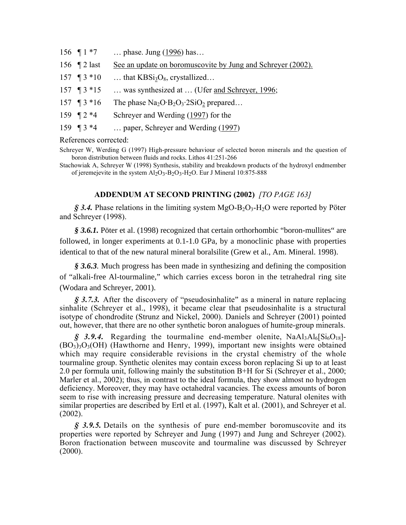156 ¶ 1 \*7 … phase. Jung (1996) has… 156 ¶ 2 last See an update on boromuscovite by Jung and Schreyer (2002). 157  $\P$  3  $*$ 10 … that KBSi<sub>3</sub>O<sub>8</sub>, crystallized… 157 ¶ 3 \*15 … was synthesized at … (Ufer <u>and Schreyer, 1996</u>; 157  $\P$  3 \*16 The phase Na<sub>2</sub>O·B<sub>2</sub>O<sub>3</sub>·2SiO<sub>2</sub> prepared… 159 ¶ 2 \*4 Schreyer and Werding (1997) for the 159 ¶ 3 \*4 … paper, Schreyer and Werding (1997)

References corrected:

Schreyer W, Werding G (1997) High-pressure behaviour of selected boron minerals and the question of boron distribution between fluids and rocks. Lithos 41:251-266

Stachowiak A, Schreyer W (1998) Synthesis, stability and breakdown products of the hydroxyl endmember of jeremejevite in the system  $Al_2O_3-B_2O_3-H_2O$ . Eur J Mineral 10:875-888

### **ADDENDUM AT SECOND PRINTING (2002)** *[TO PAGE 163]*

 $\hat{S}$  3.4. Phase relations in the limiting system MgO-B<sub>2</sub>O<sub>3</sub>-H<sub>2</sub>O were reported by Pöter and Schreyer (1998).

*§ 3.6.1.* Pöter et al. (1998) recognized that certain orthorhombic "boron-mullites" are followed, in longer experiments at 0.1-1.0 GPa, by a monoclinic phase with properties identical to that of the new natural mineral boralsilite (Grew et al., Am. Mineral. 1998).

*§ 3.6.3.* Much progress has been made in synthesizing and defining the composition of "alkali-free Al-tourmaline," which carries excess boron in the tetrahedral ring site (Wodara and Schreyer, 2001).

*§ 3.7.3.* After the discovery of "pseudosinhalite" as a mineral in nature replacing sinhalite (Schreyer et al., 1998), it became clear that pseudosinhalite is a structural isotype of chondrodite (Strunz and Nickel, 2000). Daniels and Schreyer (2001) pointed out, however, that there are no other synthetic boron analogues of humite-group minerals.

 $\hat{S}$  3.9.4. Regarding the tourmaline end-member olenite,  $\text{NaAl}_3\text{Al}_6\text{Si}_6\text{O}_{18}$ ]- $(BO_3)_3O_3(OH)$  (Hawthorne and Henry, 1999), important new insights were obtained which may require considerable revisions in the crystal chemistry of the whole tourmaline group. Synthetic olenites may contain excess boron replacing Si up to at least 2.0 per formula unit, following mainly the substitution B+H for Si (Schreyer et al., 2000; Marler et al., 2002); thus, in contrast to the ideal formula, they show almost no hydrogen deficiency. Moreover, they may have octahedral vacancies. The excess amounts of boron seem to rise with increasing pressure and decreasing temperature. Natural olenites with similar properties are described by Ertl et al. (1997), Kalt et al. (2001), and Schreyer et al. (2002).

*§ 3.9.5.* Details on the synthesis of pure end-member boromuscovite and its properties were reported by Schreyer and Jung (1997) and Jung and Schreyer (2002). Boron fractionation between muscovite and tourmaline was discussed by Schreyer  $(2000)$ .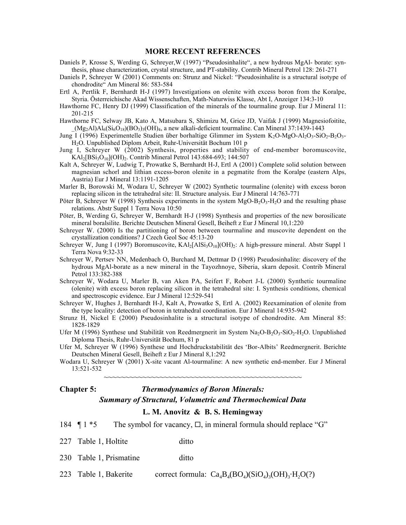#### **MORE RECENT REFERENCES**

- Daniels P, Krosse S, Werding G, Schreyer,W (1997) "Pseudosinhalite", a new hydrous MgAl- borate: synthesis, phase characterization, crystal structure, and PT-stability. Contrib Mineral Petrol 128: 261-271
- Daniels P, Schreyer W (2001) Comments on: Strunz and Nickel: "Pseudosinhalite is a structural isotype of chondrodite" Am Mineral 86: 583-584
- Ertl A, Pertlik F, Bernhardt H-J (1997) Investigations on olenite with excess boron from the Koralpe, Styria. Österreichische Akad Wissenschaften, Math-Naturwiss Klasse, Abt I, Anzeiger 134:3-10
- Hawthorne FC, Henry DJ (1999) Classification of the minerals of the tourmaline group. Eur J Mineral 11: 201-215
- Hawthorne FC, Selway JB, Kato A, Matsubara S, Shimizu M, Grice JD, Vaifak J (1999) Magnesiofoitite,  $(Mg_2A)AI_6(Si_6O_{18})(BO_3)_{3}(OH)_4$ , a new alkali-deficient tourmaline. Can Mineral 37:1439-1443
- Jung I (1996) Experimentelle Studien über borhaltige Glimmer im System  $K_2O-MgO-Al_2O_3-SiO_2-B_2O_3-$ H2O. Unpublished Diplom Arbeit, Ruhr-Universität Bochum 101 p
- Jung I, Schreyer W (2002) Synthesis, properties and stability of end-member boromuscovite,  $KAl<sub>2</sub>[BS<sub>13</sub>O<sub>10</sub>](OH)<sub>2</sub>$ . Contrib Mineral Petrol 143:684-693; 144:507
- Kalt A, Schreyer W, Ludwig T, Prowatke S, Bernhardt H-J, Ertl A (2001) Complete solid solution between magnesian schorl and lithian excess-boron olenite in a pegmatite from the Koralpe (eastern Alps, Austria) Eur J Mineral 13:1191-1205
- Marler B, Borowski M, Wodara U, Schreyer W (2002) Synthetic tourmaline (olenite) with excess boron replacing silicon in the tetrahedral site: II. Structure analysis. Eur J Mineral 14:763-771
- Pöter B, Schreyer W (1998) Synthesis experiments in the system  $MgO-B<sub>2</sub>O<sub>3</sub>-H<sub>2</sub>O$  and the resulting phase relations. Abstr Suppl 1 Terra Nova 10:50
- Pöter, B, Werding G, Schreyer W, Bernhardt H-J (1998) Synthesis and properties of the new borosilicate mineral boralsilite. Berichte Deutschen Mineral Gesell, Beiheft z Eur J Mineral 10,1:220

Schreyer W. (2000) Is the partitioning of boron between tourmaline and muscovite dependent on the crystallization conditions? J Czech Geol Soc 45:13-20

- Schreyer W, Jung I (1997) Boromuscovite,  $KAI<sub>2</sub>[AIS<sub>10</sub>](OH)<sub>2</sub>: A high-pressure mineral. Abstr Suppl 1$ Terra Nova 9:32-33
- Schreyer W, Pertsev NN, Medenbach O, Burchard M, Dettmar D (1998) Pseudosinhalite: discovery of the hydrous MgAl-borate as a new mineral in the Tayozhnoye, Siberia, skarn deposit. Contrib Mineral Petrol 133:382-388
- Schreyer W, Wodara U, Marler B, van Aken PA, Seifert F, Robert J-L (2000) Synthetic tourmaline (olenite) with excess boron replacing silicon in the tetrahedral site: I. Synthesis conditions, chemical and spectroscopic evidence. Eur J Mineral 12:529-541
- Schreyer W, Hughes J, Bernhardt H-J, Kalt A, Prowatke S, Ertl A. (2002) Reexamination of olenite from the type locality: detection of boron in tetrahedral coordination. Eur J Mineral 14:935-942
- Strunz H, Nickel E (2000) Pseudosinhalite is a structural isotype of chondrodite. Am Mineral 85: 1828-1829
- Ufer M (1996) Synthese und Stabilität von Reedmergnerit im System Na<sub>2</sub>O-B<sub>2</sub>O<sub>3</sub>-SiO<sub>2</sub>-H<sub>2</sub>O. Unpublished Diploma Thesis, Ruhr-Universität Bochum, 81 p
- Ufer M, Schreyer W (1996) Synthese und Hochdruckstabilität des 'Bor-Albits' Reedmergnerit. Berichte Deutschen Mineral Gesell, Beiheft z Eur J Mineral 8,1:292
- Wodara U, Schreyer W (2001) X-site vacant Al-tourmaline: A new synthetic end-member. Eur J Mineral 13:521-532

~~~~~~~~~~~~~~~~~~~~~~~~~~~~~~~~~~~~~~~~~~~~~~

## **Chapter 5:** *Thermodynamics of Boron Minerals: Summary of Structural, Volumetric and Thermochemical Data*

## **L. M. Anovitz & B. S. Hemingway**

| The symbol for vacancy, $\Box$ , in mineral formula should replace "G" |  | 184 $\P 1 * 5$ |  |  |  |  |  |  |  |  |
|------------------------------------------------------------------------|--|----------------|--|--|--|--|--|--|--|--|
|------------------------------------------------------------------------|--|----------------|--|--|--|--|--|--|--|--|

- 227 Table 1, Holtite ditto
- 230 Table 1, Prismatine ditto
- 223 Table 1, Bakerite correct formula:  $Ca_4B_4(BO_4)(SiO_4)_3(OH)_3 \cdot H_2O(?)$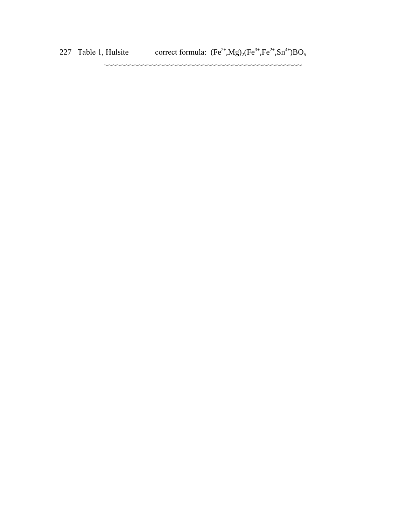227 Table 1, Hulsite correct formula:  $(Fe^{2+}, Mg)_2(Fe^{3+},Fe^{2+},Sn^{4+})BO_5$ 

~~~~~~~~~~~~~~~~~~~~~~~~~~~~~~~~~~~~~~~~~~~~~~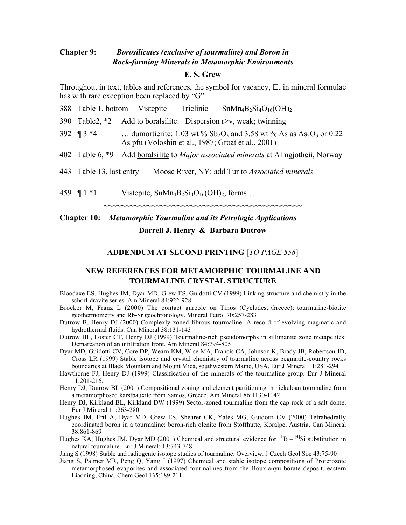## **Chapter 9:** *Borosilicates (exclusive of tourmaline) and Boron in Rock-forming Minerals in Metamorphic Environments*

## **E. S. Grew**

Throughout in text, tables and references, the symbol for vacancy,  $\Box$ , in mineral formulae has with rare exception been replaced by "G".

|                          |                                                                                       | 388 Table 1, bottom Vistepite Triclinic $SnMn_4B_2Si_4O_{16}(OH)_2$                                                                                |
|--------------------------|---------------------------------------------------------------------------------------|----------------------------------------------------------------------------------------------------------------------------------------------------|
| 390 Table2, *2           |                                                                                       | Add to boral silite: Dispersion r>v, weak; twinning                                                                                                |
| 392 $\P$ 3 $*$ 4         |                                                                                       | dumortierite: 1.03 wt % $Sb_2O_3$ and 3.58 wt % As as As <sub>2</sub> O <sub>3</sub> or 0.22<br>As pfu (Voloshin et al., 1987; Groat et al., 2001) |
| 402 Table 6, *9          |                                                                                       | Add <u>boral silite</u> to <i>Major associated minerals</i> at Almgjotheii, Norway                                                                 |
| 443 Table 13, last entry |                                                                                       | Moose River, NY: add Tur to Associated minerals                                                                                                    |
| 459 $\P 1 * 1$           | Vistepite, $\underline{\text{SnMn}_4B_2\text{Si}_4\text{O}_1_6\text{(OH)}_2}$ , forms |                                                                                                                                                    |

# **Chapter 10:** *Metamorphic Tourmaline and its Petrologic Applications* **Darrell J. Henry & Barbara Dutrow**

#### **ADDENDUM AT SECOND PRINTING** [*TO PAGE 558*]

~~~~~~~~~~~~~~~~~~~~~~~~~~~~~~~~~~~~~~~~~~~~~~

## **NEW REFERENCES FOR METAMORPHIC TOURMALINE AND TOURMALINE CRYSTAL STRUCTURE**

- Bloodaxe ES, Hughes JM, Dyar MD, Grew ES, Guidotti CV (1999) Linking structure and chemistry in the schorl-dravite series. Am Mineral 84:922-928
- Brocker M, Franz L (2000) The contact aureole on Tinos (Cyclades, Greece): tourmaline-biotite geothermometry and Rb-Sr geochronology. Mineral Petrol 70:257-283
- Dutrow B, Henry DJ (2000) Complexly zoned fibrous tourmaline: A record of evolving magmatic and hydrothermal fluids. Can Mineral 38:131-143
- Dutrow BL, Foster CT, Henry DJ (1999) Tourmaline-rich pseudomorphs in sillimanite zone metapelites: Demarcation of an infiltration front. Am Mineral 84:794-805
- Dyar MD, Guidotti CV, Core DP, Wearn KM, Wise MA, Francis CA, Johnson K, Brady JB, Robertson JD, Cross LR (1999) Stable isotope and crystal chemistry of tourmaline across pegmatite-country rocks boundaries at Black Mountain and Mount Mica, southwestern Maine, USA. Eur J Mineral 11:281-294
- Hawthorne FJ, Henry DJ (1999) Classification of the minerals of the tourmaline group. Eur J Mineral 11:201-216.
- Henry DJ, Dutrow BL (2001) Compositional zoning and element partitioning in nickeloan tourmaline from a metamorphosed karstbauxite from Samos, Greece. Am Mineral 86:1130-1142
- Henry DJ, Kirkland BL, Kirkland DW (1999) Sector-zoned tourmaline from the cap rock of a salt dome. Eur J Mineral 11:263-280
- Hughes JM, Ertl A, Dyar MD, Grew ES, Shearer CK, Yates MG, Guidotti CV (2000) Tetrahedrally coordinated boron in a tourmaline: boron-rich olenite from Stoffhutte, Koralpe, Austria. Can Mineral 38:861-869
- Hughes KA, Hughes JM, Dyar MD (2001) Chemical and structural evidence for  $[4]B [4]Si$  substitution in natural tourmaline. Eur J Mineral: 13:743-748.
- Jiang S (1998) Stable and radiogenic isotope studies of tourmaline: Overview. J Czech Geol Soc 43:75-90
- Jiang S, Palmer MR, Peng Q, Yang J (1997) Chemical and stable isotope compositions of Proterozoic metamorphosed evaporites and associated tourmalines from the Houxianyu borate deposit, eastern Liaoning, China. Chem Geol 135:189-211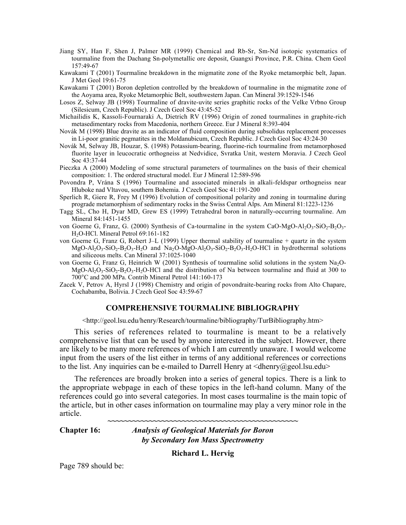- Jiang SY, Han F, Shen J, Palmer MR (1999) Chemical and Rb-Sr, Sm-Nd isotopic systematics of tourmaline from the Dachang Sn-polymetallic ore deposit, Guangxi Province, P.R. China. Chem Geol 157:49-67
- Kawakami T (2001) Tourmaline breakdown in the migmatite zone of the Ryoke metamorphic belt, Japan. J Met Geol 19:61-75
- Kawakami T (2001) Boron depletion controlled by the breakdown of tourmaline in the migmatite zone of the Aoyama area, Ryoke Metamorphic Belt, southwestern Japan. Can Mineral 39:1529-1546
- Losos Z, Selway JB (1998) Tourmaline of dravite-uvite series graphitic rocks of the Velke Vrbno Group (Silesicum, Czech Republic). J Czech Geol Soc 43:45-52
- Michailidis K, Kassoli-Fournaraki A, Dietrich RV (1996) Origin of zoned tourmalines in graphite-rich metasedimentary rocks from Macedonia, northern Greece. Eur J Mineral 8:393-404
- Novák M (1998) Blue dravite as an indicator of fluid composition during subsolidus replacement processes in Li-poor granitic pegmatites in the Moldanubicum, Czech Republic. J Czech Geol Soc 43:24-30
- Novák M, Selway JB, Houzar, S. (1998) Potassium-bearing, fluorine-rich tourmaline from metamorphosed fluorite layer in leucocratic orthogneiss at Nedvidice, Svratka Unit, western Moravia. J Czech Geol Soc 43:37-44
- Pieczka A (2000) Modeling of some structural parameters of tourmalines on the basis of their chemical composition: 1. The ordered structural model. Eur J Mineral 12:589-596
- Povondra P, Vrána S (1996) Tourmaline and associated minerals in alkali-feldspar orthogneiss near Hluboke nad Vltavou, southern Bohemia. J Czech Geol Soc 41:191-200
- Sperlich R, Giere R, Frey M (1996) Evolution of compositional polarity and zoning in tourmaline during prograde metamorphism of sedimentary rocks in the Swiss Central Alps. Am Mineral 81:1223-1236
- Tagg SL, Cho H, Dyar MD, Grew ES (1999) Tetrahedral boron in naturally-occurring tourmaline. Am Mineral 84:1451-1455
- von Goerne G, Franz, G. (2000) Synthesis of Ca-tourmaline in the system CaO-MgO-Al<sub>2</sub>O<sub>3</sub>-SiO<sub>2</sub>-B<sub>2</sub>O<sub>3</sub>-H2O-HCl. Mineral Petrol 69:161-182
- von Goerne G, Franz G, Robert J–L (1999) Upper thermal stability of tourmaline + quartz in the system  $MgO-Al_2O_3-SiO_2-B_2O_3-H_2O$  and  $Na_2O-MgO-Al_2O_3-SiO_2-B_2O_3-H_2O-HCl$  in hydrothermal solutions and siliceous melts. Can Mineral 37:1025-1040
- von Goerne G, Franz G, Heinrich W (2001) Synthesis of tourmaline solid solutions in the system Na2O-MgO-Al<sub>2</sub>O<sub>3</sub>-SiO<sub>2</sub>-B<sub>2</sub>O<sub>3</sub>-H<sub>2</sub>O-HCl and the distribution of Na between tourmaline and fluid at 300 to 700°C and 200 MPa. Contrib Mineral Petrol 141:160-173
- Zacek V, Petrov A, Hyrsl J (1998) Chemistry and origin of povondraite-bearing rocks from Alto Chapare, Cochabamba, Bolivia. J Czech Geol Soc 43:59-67

## **COMPREHENSIVE TOURMALINE BIBLIOGRAPHY**

<http://geol.lsu.edu/henry/Research/tourmaline/bibliography/TurBibliography.htm>

This series of references related to tourmaline is meant to be a relatively comprehensive list that can be used by anyone interested in the subject. However, there are likely to be many more references of which I am currently unaware. I would welcome input from the users of the list either in terms of any additional references or corrections to the list. Any inquiries can be e-mailed to Darrell Henry at  $\langle$ dhenry@geol.lsu.edu>

The references are broadly broken into a series of general topics. There is a link to the appropriate webpage in each of these topics in the left-hand column. Many of the references could go into several categories. In most cases tourmaline is the main topic of the article, but in other cases information on tourmaline may play a very minor role in the article. **~~~~~~~~~~~~~~~~~~~~~~~~~~~~~~~~~~~~~~~~~~~~~~**

**Chapter 16:** *Analysis of Geological Materials for Boron*

*by Secondary Ion Mass Spectrometry*

**Richard L. Hervig**

Page 789 should be: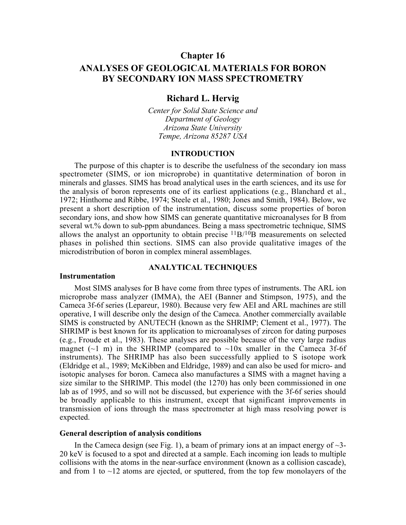## **Chapter 16**

# **ANALYSES OF GEOLOGICAL MATERIALS FOR BORON BY SECONDARY ION MASS SPECTROMETRY**

## **Richard L. Hervig**

*Center for Solid State Science and Department of Geology Arizona State University Tempe, Arizona 85287 USA*

## **INTRODUCTION**

The purpose of this chapter is to describe the usefulness of the secondary ion mass spectrometer (SIMS, or ion microprobe) in quantitative determination of boron in minerals and glasses. SIMS has broad analytical uses in the earth sciences, and its use for the analysis of boron represents one of its earliest applications (e.g., Blanchard et al., 1972; Hinthorne and Ribbe, 1974; Steele et al., 1980; Jones and Smith, 1984). Below, we present a short description of the instrumentation, discuss some properties of boron secondary ions, and show how SIMS can generate quantitative microanalyses for B from several wt.% down to sub-ppm abundances. Being a mass spectrometric technique, SIMS allows the analyst an opportunity to obtain precise  $^{11}B/^{10}B$  measurements on selected phases in polished thin sections. SIMS can also provide qualitative images of the microdistribution of boron in complex mineral assemblages.

## **ANALYTICAL TECHNIQUES**

#### **Instrumentation**

Most SIMS analyses for B have come from three types of instruments. The ARL ion microprobe mass analyzer (IMMA), the AEI (Banner and Stimpson, 1975), and the Cameca 3f-6f series (Lepareur, 1980). Because very few AEI and ARL machines are still operative, I will describe only the design of the Cameca. Another commercially available SIMS is constructed by ANUTECH (known as the SHRIMP; Clement et al., 1977). The SHRIMP is best known for its application to microanalyses of zircon for dating purposes (e.g., Froude et al., 1983). These analyses are possible because of the very large radius magnet ( $\sim$ 1 m) in the SHRIMP (compared to  $\sim$ 10x smaller in the Cameca 3f-6f instruments). The SHRIMP has also been successfully applied to S isotope work (Eldridge et al., 1989; McKibben and Eldridge, 1989) and can also be used for micro- and isotopic analyses for boron. Cameca also manufactures a SIMS with a magnet having a size similar to the SHRIMP. This model (the 1270) has only been commissioned in one lab as of 1995, and so will not be discussed, but experience with the 3f-6f series should be broadly applicable to this instrument, except that significant improvements in transmission of ions through the mass spectrometer at high mass resolving power is expected.

#### **General description of analysis conditions**

In the Cameca design (see Fig. 1), a beam of primary ions at an impact energy of  $\sim$ 3-20 keV is focused to a spot and directed at a sample. Each incoming ion leads to multiple collisions with the atoms in the near-surface environment (known as a collision cascade), and from 1 to  $\sim$ 12 atoms are ejected, or sputtered, from the top few monolayers of the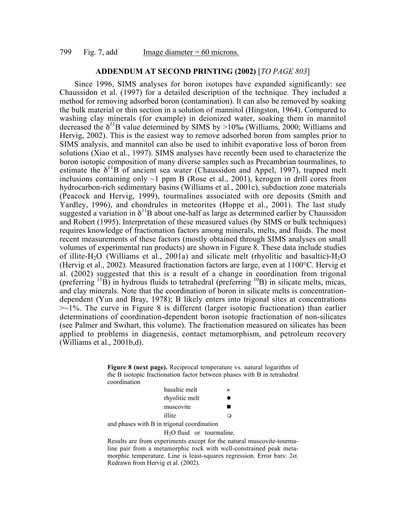## **ADDENDUM AT SECOND PRINTING (2002)** [*TO PAGE 803*]

Since 1996, SIMS analyses for boron isotopes have expanded significantly: see Chaussidon et al. (1997) for a detailed description of the technique. They included a method for removing adsorbed boron (contamination). It can also be removed by soaking the bulk material or thin section in a solution of mannitol (Hingston, 1964). Compared to washing clay minerals (for example) in deionized water, soaking them in mannitol decreased the  $\delta^{11}B$  value determined by SIMS by >10‰ (Williams, 2000; Williams and Hervig, 2002). This is the easiest way to remove adsorbed boron from samples prior to SIMS analysis, and mannitol can also be used to inhibit evaporative loss of boron from solutions (Xiao et al., 1997). SIMS analyses have recently been used to characterize the boron isotopic composition of many diverse samples such as Precambrian tourmalines, to estimate the  $\delta^{11}B$  of ancient sea water (Chaussidon and Appel, 1997), trapped melt inclusions containing only  $\sim$ 1 ppm B (Rose et al., 2001), kerogen in drill cores from hydrocarbon-rich sedimentary basins (Williams et al., 2001c), subduction zone materials (Peacock and Hervig, 1999), tourmalines associated with ore deposits (Smith and Yardley, 1996), and chondrules in meteorites (Hoppe et al., 2001). The last study suggested a variation in  $\delta^{11}B$  about one-half as large as determined earlier by Chaussidon and Robert (1995). Interpretation of these measured values (by SIMS or bulk techniques) requires knowledge of fractionation factors among minerals, melts, and fluids. The most recent measurements of these factors (mostly obtained through SIMS analyses on small volumes of experimental run products) are shown in Figure 8. These data include studies of illite-H<sub>2</sub>O (Williams et al., 2001a) and silicate melt (rhyolitic and basaltic)-H<sub>2</sub>O (Hervig et al., 2002). Measured fractionation factors are large, even at 1100°C. Hervig et al. (2002) suggested that this is a result of a change in coordination from trigonal (preferring  $^{11}$ B) in hydrous fluids to tetrahedral (preferring  $^{10}$ B) in silicate melts, micas, and clay minerals. Note that the coordination of boron in silicate melts is concentrationdependent (Yun and Bray, 1978); B likely enters into trigonal sites at concentrations  $\approx$  1%. The curve in Figure 8 is different (larger isotopic fractionation) than earlier determinations of coordination-dependent boron isotopic fractionation of non-silicates (see Palmer and Swihart, this volume). The fractionation measured on silicates has been applied to problems in diagenesis, contact metamorphism, and petroleum recovery (Williams et al., 2001b,d).

> **Figure 8 (next page).** Reciprocal temperature vs. natural logarithm of the B isotopic fractionation factor between phases with B in tetrahedral coordination

| basaltic melt  | $\times$ |
|----------------|----------|
| rhyolitic melt |          |
| muscovite      |          |
| illite         |          |

and phases with B in trigonal coordination

#### H2O fluid or tourmaline.

Results are from experiments except for the natural muscovite-tourmaline pair from a metamorphic rock with well-constrained peak metamorphic temperature. Line is least-squares regression. Error bars: 2σ. Redrawn from Hervig et al. (2002).